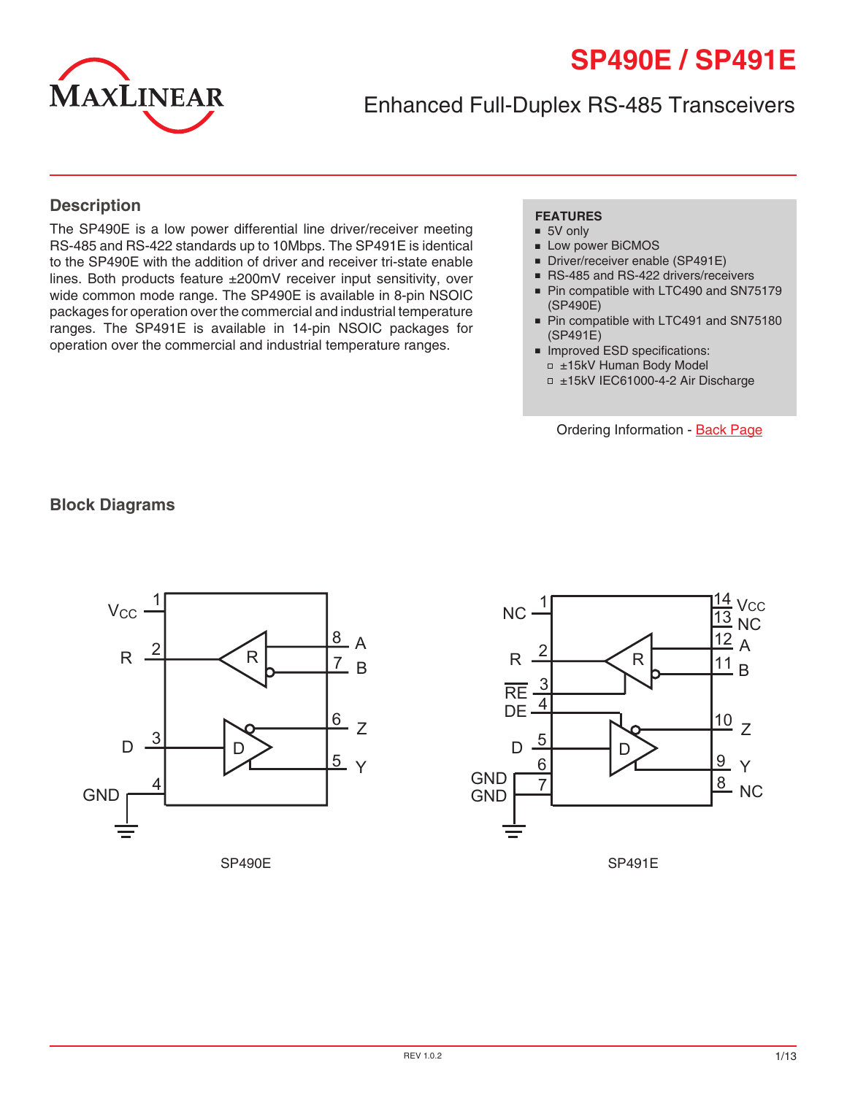# **SP490E / SP491E**



Enhanced Full-Duplex RS-485 Transceivers

#### **Description**

The SP490E is a low power differential line driver/receiver meeting RS-485 and RS-422 standards up to 10Mbps. The SP491E is identical to the SP490E with the addition of driver and receiver tri-state enable lines. Both products feature ±200mV receiver input sensitivity, over wide common mode range. The SP490E is available in 8-pin NSOIC packages for operation over the commercial and industrial temperature ranges. The SP491E is available in 14-pin NSOIC packages for operation over the commercial and industrial temperature ranges.

#### **FEATURES**

- 5V only
- Low power BiCMOS
- Driver/receiver enable (SP491E)
- RS-485 and RS-422 drivers/receivers
- Pin compatible with LTC490 and SN75179 (SP490E)
- Pin compatible with LTC491 and SN75180 (SP491E)
- Improved ESD specifications: ±15kV Human Body Model
	- ±15kV IEC61000-4-2 Air Discharge

Ordering Information - [Back Page](#page-12-0)

#### **Block Diagrams**





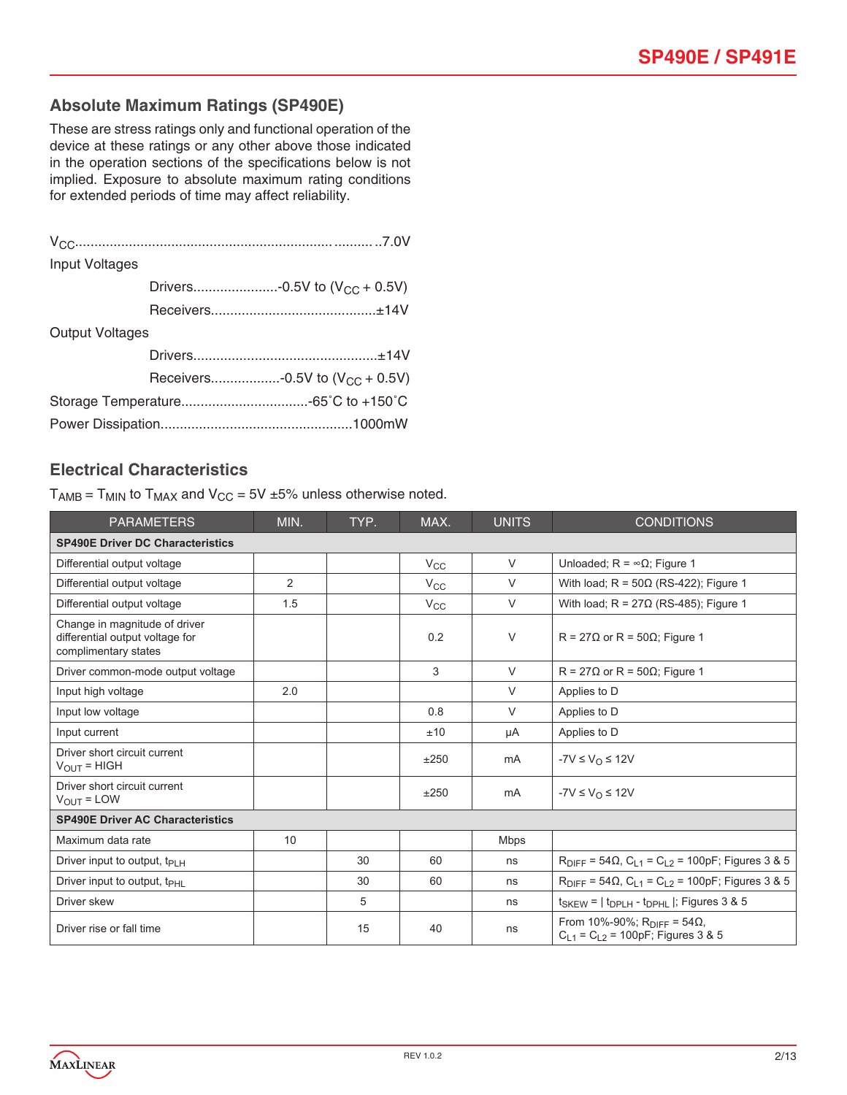#### **Absolute Maximum Ratings (SP490E)**

These are stress ratings only and functional operation of the device at these ratings or any other above those indicated in the operation sections of the specifications below is not implied. Exposure to absolute maximum rating conditions for extended periods of time may affect reliability.

| Input Voltages         |  |                                     |  |  |  |
|------------------------|--|-------------------------------------|--|--|--|
|                        |  | Drivers-0.5V to $(V_{CC} + 0.5V)$   |  |  |  |
|                        |  |                                     |  |  |  |
| <b>Output Voltages</b> |  |                                     |  |  |  |
|                        |  |                                     |  |  |  |
|                        |  | Receivers-0.5V to $(V_{CC} + 0.5V)$ |  |  |  |
|                        |  |                                     |  |  |  |
|                        |  |                                     |  |  |  |

#### **Electrical Characteristics**

 $T_{AMB}$  =  $T_{MIN}$  to  $T_{MAX}$  and  $V_{CC}$  = 5V ±5% unless otherwise noted.

| <b>PARAMETERS</b>                                                                        | MIN. | TYP. | MAX.         | <b>UNITS</b> | <b>CONDITIONS</b>                                                                     |  |  |  |
|------------------------------------------------------------------------------------------|------|------|--------------|--------------|---------------------------------------------------------------------------------------|--|--|--|
| <b>SP490E Driver DC Characteristics</b>                                                  |      |      |              |              |                                                                                       |  |  |  |
| Differential output voltage                                                              |      |      | $V_{\rm CC}$ | $\vee$       | Unloaded; $R = \infty \Omega$ ; Figure 1                                              |  |  |  |
| Differential output voltage                                                              | 2    |      | $V_{\rm CC}$ | $\vee$       | With load; $R = 50\Omega$ (RS-422); Figure 1                                          |  |  |  |
| Differential output voltage                                                              | 1.5  |      | $V_{\rm CC}$ | $\vee$       | With load; $R = 27\Omega$ (RS-485); Figure 1                                          |  |  |  |
| Change in magnitude of driver<br>differential output voltage for<br>complimentary states |      |      | 0.2          | V            | $R = 27\Omega$ or $R = 50\Omega$ ; Figure 1                                           |  |  |  |
| Driver common-mode output voltage                                                        |      |      | 3            | $\vee$       | $R = 27\Omega$ or $R = 50\Omega$ ; Figure 1                                           |  |  |  |
| Input high voltage                                                                       | 2.0  |      |              | V            | Applies to D                                                                          |  |  |  |
| Input low voltage                                                                        |      |      | 0.8          | V            | Applies to D                                                                          |  |  |  |
| Input current                                                                            |      |      | ±10          | μA           | Applies to D                                                                          |  |  |  |
| Driver short circuit current<br>$V_{OUIT}$ = HIGH                                        |      |      | ±250         | mA           | $-YV \leq V_{\Omega} \leq 12V$                                                        |  |  |  |
| Driver short circuit current<br>$V_{OUIT} = LOW$                                         |      |      | ±250         | mA           | $-YV \leq V_{\Omega} \leq 12V$                                                        |  |  |  |
| <b>SP490E Driver AC Characteristics</b>                                                  |      |      |              |              |                                                                                       |  |  |  |
| Maximum data rate                                                                        | 10   |      |              | <b>Mbps</b>  |                                                                                       |  |  |  |
| Driver input to output, $t_{PIH}$                                                        |      | 30   | 60           | ns           | $R_{\text{DIFF}} = 54 \Omega$ , $C_{L1} = C_{L2} = 100pF$ ; Figures 3 & 5             |  |  |  |
| Driver input to output, $t_{\text{PHI}}$                                                 |      | 30   | 60           | ns           | $R_{\text{DIFF}} = 54 \Omega$ , $C_{L1} = C_{L2} = 100pF$ ; Figures 3 & 5             |  |  |  |
| Driver skew                                                                              |      | 5    |              | ns           | $t_{SKEW}$ = $ t_{DPLH}$ - $t_{DPHL}$ $ $ ; Figures 3 & 5                             |  |  |  |
| Driver rise or fall time                                                                 |      | 15   | 40           | ns           | From 10%-90%; R <sub>DIFF</sub> = 54Ω,<br>$C_{1,1} = C_{1,2} = 100pF$ ; Figures 3 & 5 |  |  |  |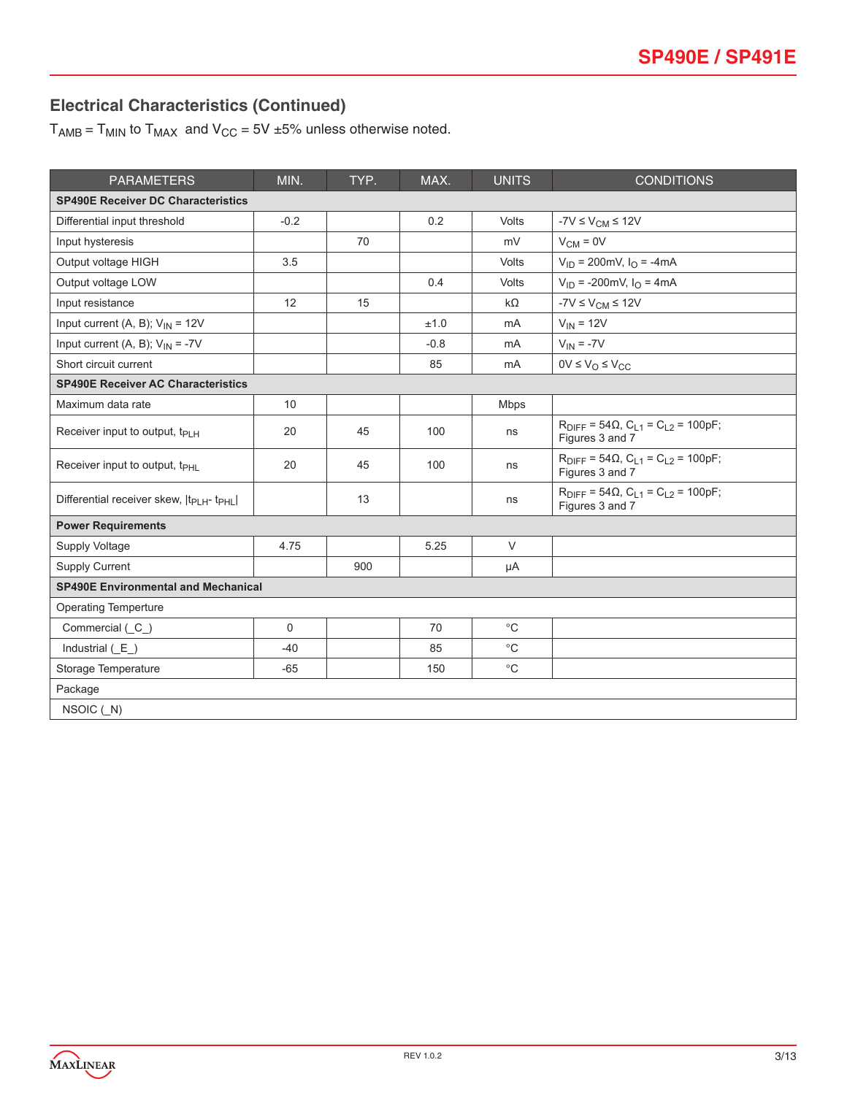# **Electrical Characteristics (Continued)**

 $T_{AMB} = T_{MIN}$  to  $T_{MAX}$  and  $V_{CC} = 5V \pm 5\%$  unless otherwise noted.

| <b>PARAMETERS</b>                                               | MIN.     | TYP. | MAX.   | <b>UNITS</b> | <b>CONDITIONS</b>                                                             |  |  |  |  |
|-----------------------------------------------------------------|----------|------|--------|--------------|-------------------------------------------------------------------------------|--|--|--|--|
| <b>SP490E Receiver DC Characteristics</b>                       |          |      |        |              |                                                                               |  |  |  |  |
| Differential input threshold                                    | $-0.2$   |      | 0.2    | Volts        | $-7V \leq V_{CM} \leq 12V$                                                    |  |  |  |  |
| Input hysteresis                                                |          | 70   |        | mV           | $V_{CM} = 0V$                                                                 |  |  |  |  |
| Output voltage HIGH                                             | 3.5      |      |        | Volts        | $V_{ID}$ = 200mV, $I_{O}$ = -4mA                                              |  |  |  |  |
| Output voltage LOW                                              |          |      | 0.4    | Volts        | $V_{ID}$ = -200mV, $I_{O}$ = 4mA                                              |  |  |  |  |
| Input resistance                                                | 12       | 15   |        | $k\Omega$    | $-7V \leq V_{CM} \leq 12V$                                                    |  |  |  |  |
| Input current (A, B); $V_{IN} = 12V$                            |          |      | ±1.0   | mA           | $V_{IN} = 12V$                                                                |  |  |  |  |
| Input current (A, B); $V_{IN} = -7V$                            |          |      | $-0.8$ | mA           | $V_{IN} = -7V$                                                                |  |  |  |  |
| Short circuit current                                           |          |      | 85     | mA           | $0V \leq V_O \leq V_{CC}$                                                     |  |  |  |  |
| <b>SP490E Receiver AC Characteristics</b>                       |          |      |        |              |                                                                               |  |  |  |  |
| Maximum data rate                                               | 10       |      |        | <b>Mbps</b>  |                                                                               |  |  |  |  |
| Receiver input to output, $t_{PIH}$                             | 20       | 45   | 100    | ns           | $R_{\text{DIFF}} = 54\Omega$ , $C_{L1} = C_{L2} = 100pF$ ;<br>Figures 3 and 7 |  |  |  |  |
| Receiver input to output, t <sub>PHL</sub>                      | 20       | 45   | 100    | ns           | $R_{\text{DIFF}} = 54\Omega$ , $C_{L1} = C_{L2} = 100pF$ ;<br>Figures 3 and 7 |  |  |  |  |
| Differential receiver skew,  t <sub>PLH</sub> -t <sub>PHL</sub> |          | 13   |        | ns           | $R_{\text{DIFF}} = 54\Omega$ , $C_{L1} = C_{L2} = 100pF$ ;<br>Figures 3 and 7 |  |  |  |  |
| <b>Power Requirements</b>                                       |          |      |        |              |                                                                               |  |  |  |  |
| Supply Voltage                                                  | 4.75     |      | 5.25   | $\vee$       |                                                                               |  |  |  |  |
| <b>Supply Current</b>                                           |          | 900  |        | μA           |                                                                               |  |  |  |  |
| <b>SP490E Environmental and Mechanical</b>                      |          |      |        |              |                                                                               |  |  |  |  |
| <b>Operating Temperture</b>                                     |          |      |        |              |                                                                               |  |  |  |  |
| Commercial (C_)                                                 | $\Omega$ |      | 70     | $^{\circ}C$  |                                                                               |  |  |  |  |
| Industrial $(E)$                                                | $-40$    |      | 85     | $^{\circ}$ C |                                                                               |  |  |  |  |
| Storage Temperature                                             | $-65$    |      | 150    | $^{\circ}$ C |                                                                               |  |  |  |  |
| Package                                                         |          |      |        |              |                                                                               |  |  |  |  |
| NSOIC $(N)$                                                     |          |      |        |              |                                                                               |  |  |  |  |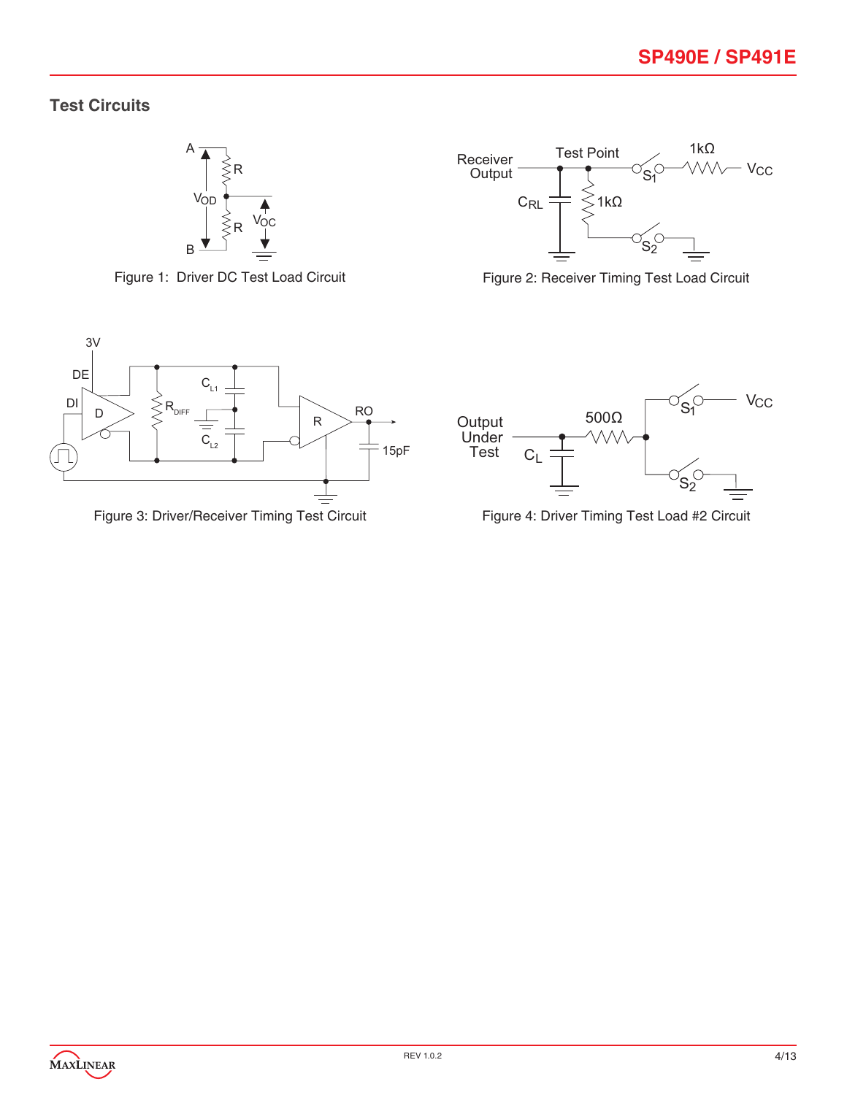## **Test Circuits**



Figure 1: Driver DC Test Load Circuit



Figure 2: Receiver Timing Test Load Circuit





Figure 3: Driver/Receiver Timing Test Circuit Figure 4: Driver Timing Test Load #2 Circuit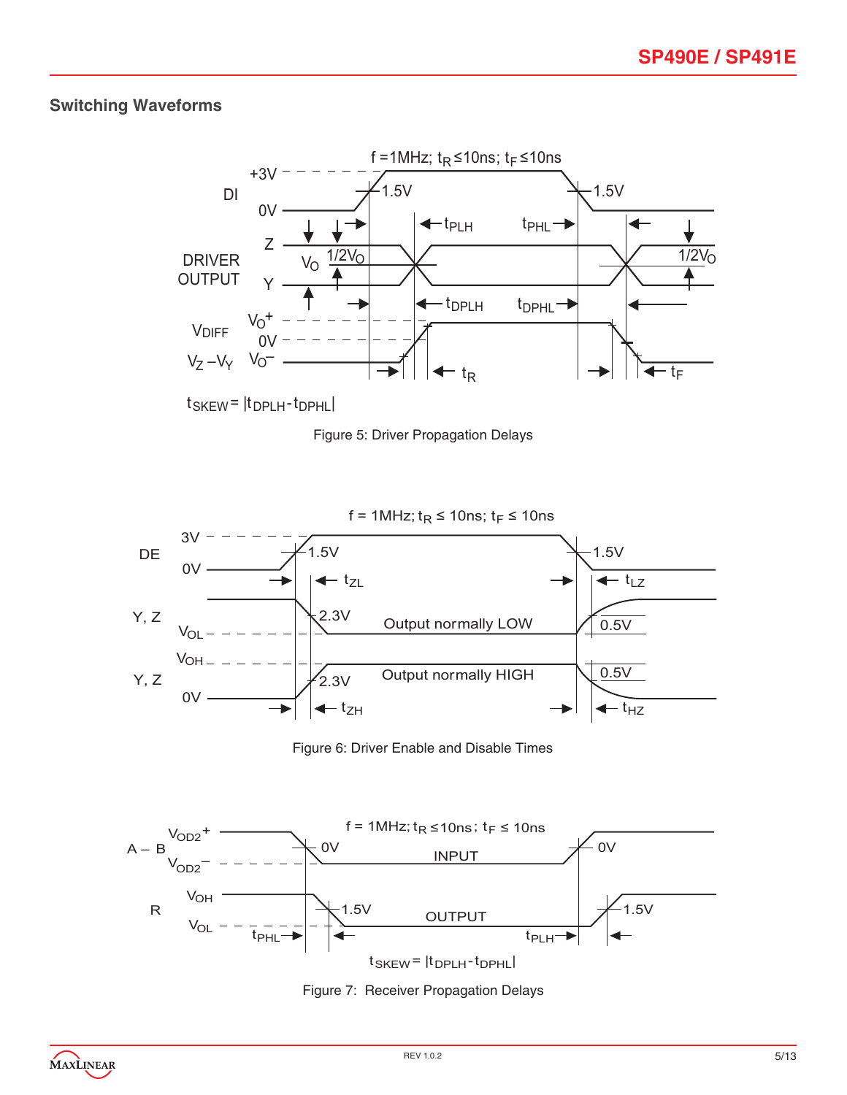## **Switching Waveforms**









Figure 6: Driver Enable and Disable Times



Figure 7: Receiver Propagation Delays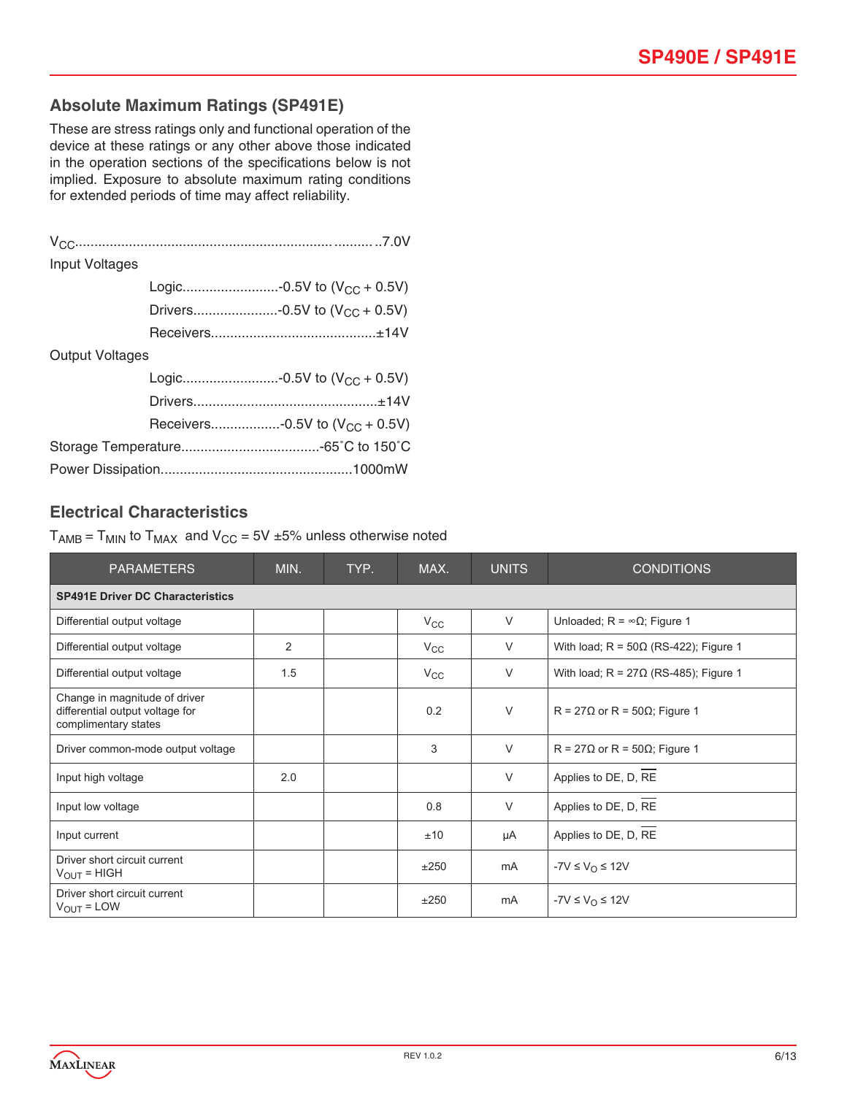#### **Absolute Maximum Ratings (SP491E)**

These are stress ratings only and functional operation of the device at these ratings or any other above those indicated in the operation sections of the specifications below is not implied. Exposure to absolute maximum rating conditions for extended periods of time may affect reliability.

| <b>Input Voltages</b>  |                                     |  |
|------------------------|-------------------------------------|--|
|                        | Logic-0.5V to $(V_{CC} + 0.5V)$     |  |
|                        | Drivers-0.5V to $(V_{CC} + 0.5V)$   |  |
|                        |                                     |  |
| <b>Output Voltages</b> |                                     |  |
|                        | Logic-0.5V to $(V_{CC} + 0.5V)$     |  |
|                        |                                     |  |
|                        | Receivers-0.5V to $(V_{CC} + 0.5V)$ |  |
|                        |                                     |  |
|                        |                                     |  |

#### **Electrical Characteristics**

 $T_{AMB}$  =  $T_{MIN}$  to  $T_{MAX}$  and  $V_{CC}$  = 5V  $\pm$ 5% unless otherwise noted

| <b>PARAMETERS</b>                                                                        | MIN. | TYP. | MAX.         | <b>UNITS</b> | <b>CONDITIONS</b>                            |  |  |  |
|------------------------------------------------------------------------------------------|------|------|--------------|--------------|----------------------------------------------|--|--|--|
| <b>SP491E Driver DC Characteristics</b>                                                  |      |      |              |              |                                              |  |  |  |
| Differential output voltage                                                              |      |      | $V_{\rm CC}$ | $\vee$       | Unloaded; $R = \infty \Omega$ ; Figure 1     |  |  |  |
| Differential output voltage                                                              | 2    |      | $V_{\rm CC}$ | $\vee$       | With load; $R = 50\Omega$ (RS-422); Figure 1 |  |  |  |
| Differential output voltage                                                              | 1.5  |      | $V_{\rm CC}$ | $\vee$       | With load; $R = 27\Omega$ (RS-485); Figure 1 |  |  |  |
| Change in magnitude of driver<br>differential output voltage for<br>complimentary states |      |      | 0.2          | $\vee$       | $R = 27\Omega$ or R = 50 $\Omega$ ; Figure 1 |  |  |  |
| Driver common-mode output voltage                                                        |      |      | 3            | $\vee$       | $R = 27\Omega$ or R = 50 $\Omega$ ; Figure 1 |  |  |  |
| Input high voltage                                                                       | 2.0  |      |              | $\vee$       | Applies to DE, D, RE                         |  |  |  |
| Input low voltage                                                                        |      |      | 0.8          | $\vee$       | Applies to DE, D, RE                         |  |  |  |
| Input current                                                                            |      |      | ±10          | μA           | Applies to DE, D, RE                         |  |  |  |
| Driver short circuit current<br>$V_{\text{OUT}}$ = HIGH                                  |      |      | ±250         | mA           | $-7V \leq V_{\Omega} \leq 12V$               |  |  |  |
| Driver short circuit current<br>$V_{OUT} = LOW$                                          |      |      | ±250         | mA           | $-7V \leq V_{\Omega} \leq 12V$               |  |  |  |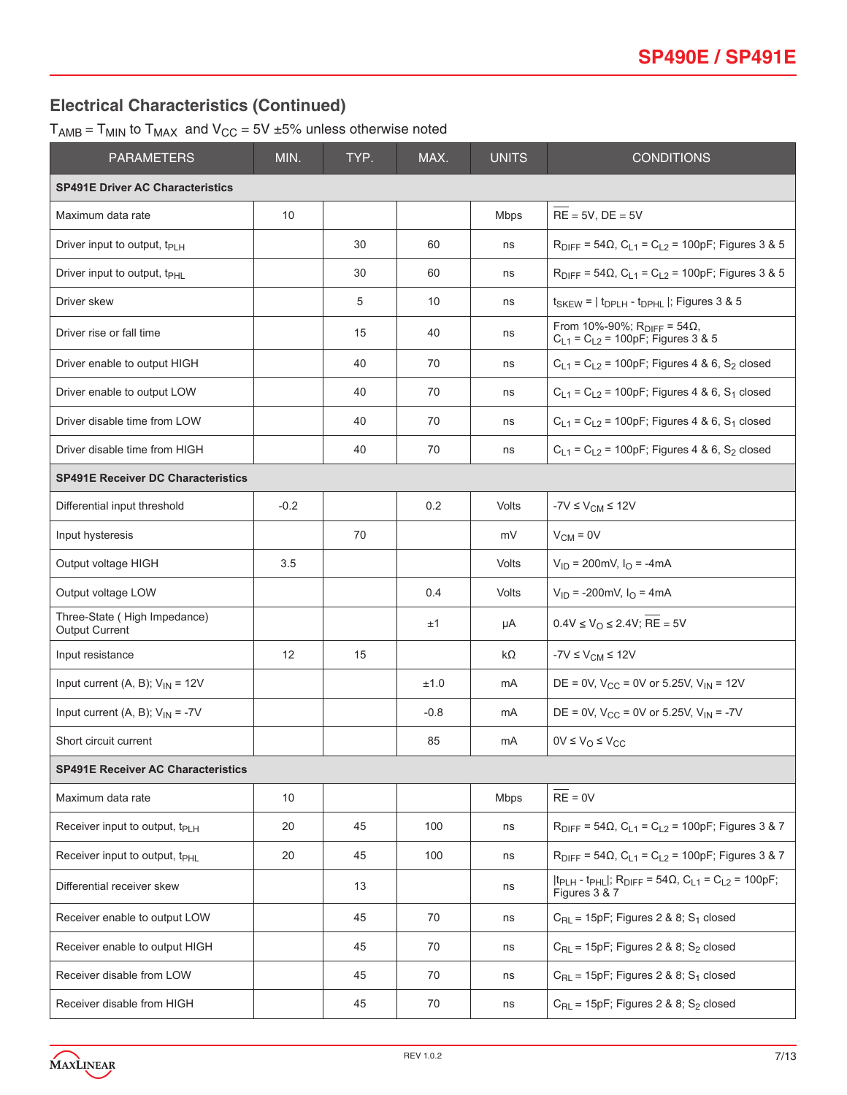## **Electrical Characteristics (Continued)**

 $T_{AMB}$  =  $T_{MIN}$  to  $T_{MAX}$  and  $V_{CC}$  = 5V  $\pm$ 5% unless otherwise noted

| <b>PARAMETERS</b>                                     | MIN.   | TYP. | MAX.   | <b>UNITS</b> | <b>CONDITIONS</b>                                                                                                     |
|-------------------------------------------------------|--------|------|--------|--------------|-----------------------------------------------------------------------------------------------------------------------|
| <b>SP491E Driver AC Characteristics</b>               |        |      |        |              |                                                                                                                       |
| Maximum data rate                                     | 10     |      |        | <b>Mbps</b>  | $RE = 5V$ , $DE = 5V$                                                                                                 |
| Driver input to output, t <sub>PLH</sub>              |        | 30   | 60     | ns           | $R_{\text{DIFF}} = 54\Omega$ , $C_{L1} = C_{L2} = 100pF$ ; Figures 3 & 5                                              |
| Driver input to output, t <sub>PHL</sub>              |        | 30   | 60     | ns           | $R_{DIFF}$ = 54Ω, C <sub>L1</sub> = C <sub>L2</sub> = 100pF; Figures 3 & 5                                            |
| Driver skew                                           |        | 5    | 10     | ns           | $t_{SKEW}$ = $ t_{DPLH}$ - $t_{DPHL}$  ; Figures 3 & 5                                                                |
| Driver rise or fall time                              |        | 15   | 40     | ns           | From 10%-90%; $R_{DIFF} = 54Ω$ ,<br>$C_{L1} = C_{L2} = 100pF$ ; Figures 3 & 5                                         |
| Driver enable to output HIGH                          |        | 40   | 70     | ns           | $C_{L1} = C_{L2} = 100pF$ ; Figures 4 & 6, S <sub>2</sub> closed                                                      |
| Driver enable to output LOW                           |        | 40   | 70     | ns           | $C_{L1} = C_{L2} = 100pF$ ; Figures 4 & 6, S <sub>1</sub> closed                                                      |
| Driver disable time from LOW                          |        | 40   | 70     | ns           | $C_{L1} = C_{L2} = 100pF$ ; Figures 4 & 6, S <sub>1</sub> closed                                                      |
| Driver disable time from HIGH                         |        | 40   | 70     | ns           | $C_{L1} = C_{L2} = 100pF$ ; Figures 4 & 6, S <sub>2</sub> closed                                                      |
| <b>SP491E Receiver DC Characteristics</b>             |        |      |        |              |                                                                                                                       |
| Differential input threshold                          | $-0.2$ |      | 0.2    | Volts        | $-7V \leq V_{CM} \leq 12V$                                                                                            |
| Input hysteresis                                      |        | 70   |        | mV           | $V_{CM} = 0V$                                                                                                         |
| Output voltage HIGH                                   | 3.5    |      |        | Volts        | $V_{ID} = 200 \text{mV}$ , $I_{O} = -4 \text{mA}$                                                                     |
| Output voltage LOW                                    |        |      | 0.4    | Volts        | $V_{ID}$ = -200mV, $I_{O}$ = 4mA                                                                                      |
| Three-State (High Impedance)<br><b>Output Current</b> |        |      | ±1     | μA           | $0.4V \le V_O \le 2.4V$ ; RE = 5V                                                                                     |
| Input resistance                                      | 12     | 15   |        | kΩ           | $-7V \leq V_{CM} \leq 12V$                                                                                            |
| Input current (A, B); $V_{IN} = 12V$                  |        |      | ±1.0   | mA           | DE = 0V, $V_{CC}$ = 0V or 5.25V, $V_{IN}$ = 12V                                                                       |
| Input current (A, B); $V_{IN} = -7V$                  |        |      | $-0.8$ | mA           | DE = 0V, $V_{CC}$ = 0V or 5.25V, $V_{IN}$ = -7V                                                                       |
| Short circuit current                                 |        |      | 85     | mA           | $0V \leq V_O \leq V_{CC}$                                                                                             |
| <b>SP491E Receiver AC Characteristics</b>             |        |      |        |              |                                                                                                                       |
| Maximum data rate                                     | 10     |      |        | <b>Mbps</b>  | $RE = 0V$                                                                                                             |
| Receiver input to output, t <sub>PLH</sub>            | 20     | 45   | 100    | ns           | $R_{\text{DIFF}} = 54 \Omega$ , $C_{L1} = C_{L2} = 100pF$ ; Figures 3 & 7                                             |
| Receiver input to output, t <sub>PHL</sub>            | 20     | 45   | 100    | ns           | $R_{\text{DIFF}} = 54 \Omega$ , $C_{L1} = C_{L2} = 100pF$ ; Figures 3 & 7                                             |
| Differential receiver skew                            |        | 13   |        | ns           | $ t_{PLH} - t_{PHL} $ ; R <sub>DIFF</sub> = 54 $\Omega$ , C <sub>L1</sub> = C <sub>L2</sub> = 100pF;<br>Figures 3 & 7 |
| Receiver enable to output LOW                         |        | 45   | 70     | ns           | $C_{\text{RL}}$ = 15pF; Figures 2 & 8; S <sub>1</sub> closed                                                          |
| Receiver enable to output HIGH                        |        | 45   | 70     | ns           | $C_{RL}$ = 15pF; Figures 2 & 8; S <sub>2</sub> closed                                                                 |
| Receiver disable from LOW                             |        | 45   | 70     | ns           | $C_{\text{RL}}$ = 15pF; Figures 2 & 8; S <sub>1</sub> closed                                                          |
| Receiver disable from HIGH                            |        | 45   | 70     | ns           | $C_{RL}$ = 15pF; Figures 2 & 8; S <sub>2</sub> closed                                                                 |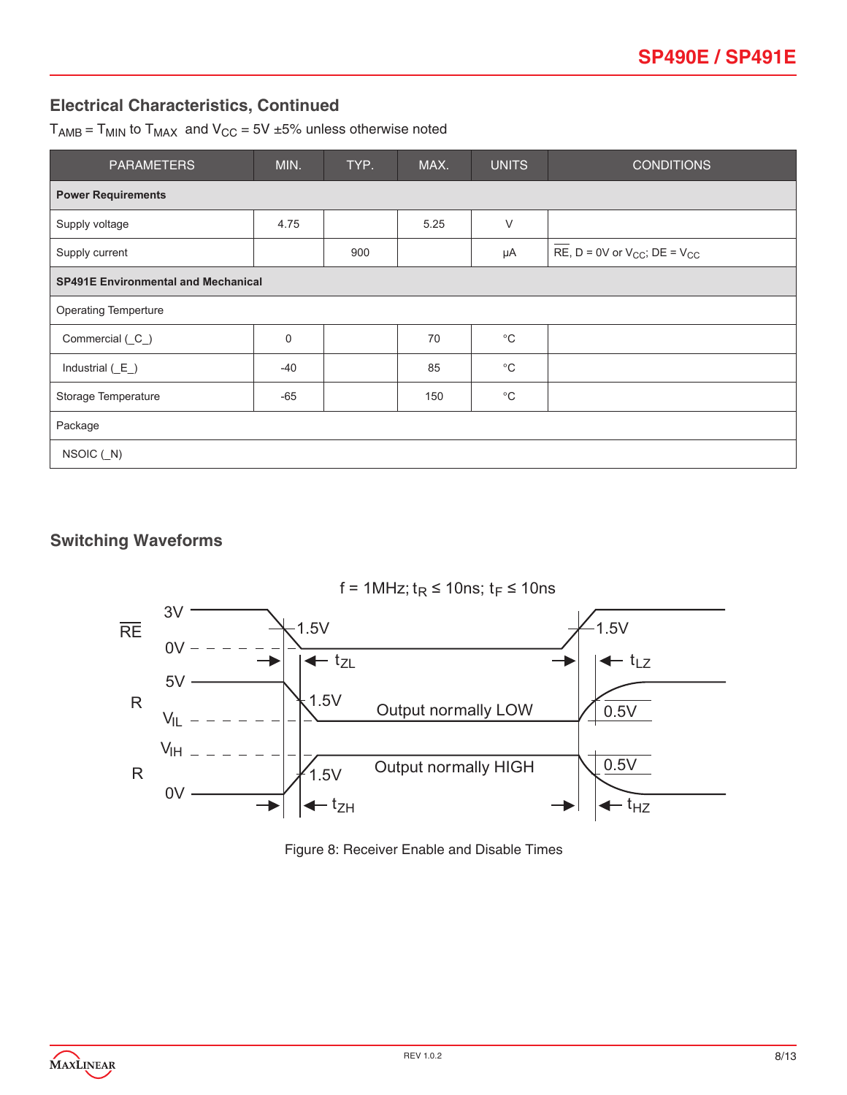## **Electrical Characteristics, Continued**

 $T_{AMB}$  =  $T_{MIN}$  to  $T_{MAX}$  and  $V_{CC}$  = 5V  $\pm$ 5% unless otherwise noted

| <b>PARAMETERS</b>                          | MIN.  | TYP. | MAX. | <b>UNITS</b> | <b>CONDITIONS</b>                        |  |  |  |
|--------------------------------------------|-------|------|------|--------------|------------------------------------------|--|--|--|
| <b>Power Requirements</b>                  |       |      |      |              |                                          |  |  |  |
| Supply voltage                             | 4.75  |      | 5.25 | $\vee$       |                                          |  |  |  |
| Supply current                             |       | 900  |      | μA           | RE, $D = 0V$ or $V_{CC}$ ; $DE = V_{CC}$ |  |  |  |
| <b>SP491E Environmental and Mechanical</b> |       |      |      |              |                                          |  |  |  |
| <b>Operating Temperture</b>                |       |      |      |              |                                          |  |  |  |
| Commercial (C_)                            | 0     |      | 70   | $^{\circ}C$  |                                          |  |  |  |
| Industrial $(E_$ )                         | $-40$ |      | 85   | $^{\circ}C$  |                                          |  |  |  |
| Storage Temperature                        | $-65$ |      | 150  | $^{\circ}C$  |                                          |  |  |  |
| Package                                    |       |      |      |              |                                          |  |  |  |
| $NSOIC$ $(N)$                              |       |      |      |              |                                          |  |  |  |

#### **Switching Waveforms**



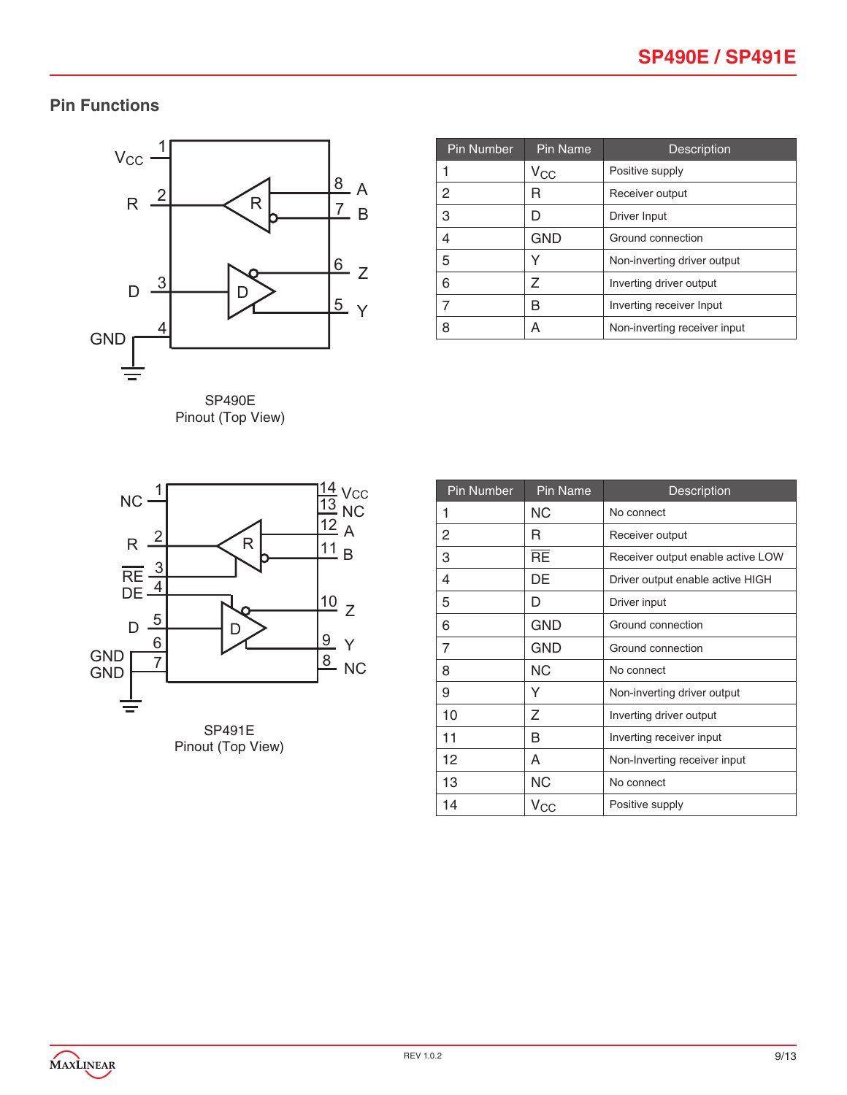# **Pin Functions**



Pinout (Top View)

| <b>Pin Number</b> | Pin Name     | Description                  |
|-------------------|--------------|------------------------------|
|                   | $V_{\rm CC}$ | Positive supply              |
| 2                 | R            | Receiver output              |
| 3                 | D            | Driver Input                 |
| 4                 | <b>GND</b>   | Ground connection            |
| 5                 |              | Non-inverting driver output  |
| 6                 | 7            | Inverting driver output      |
| 7                 | R            | Inverting receiver Input     |
| 8                 | А            | Non-inverting receiver input |



Pinout (Top View)

| <b>Pin Number</b> | <b>Pin Name</b> | Description                       |
|-------------------|-----------------|-----------------------------------|
| 1                 | ΝC              | No connect                        |
| 2                 | R               | Receiver output                   |
| 3                 | $\overline{RE}$ | Receiver output enable active LOW |
| 4                 | DE              | Driver output enable active HIGH  |
| 5                 | D               | Driver input                      |
| 6                 | GND             | Ground connection                 |
| 7                 | GND             | Ground connection                 |
| 8                 | <b>NC</b>       | No connect                        |
| 9                 | Y               | Non-inverting driver output       |
| 10                | Ζ               | Inverting driver output           |
| 11                | В               | Inverting receiver input          |
| 12                | A               | Non-Inverting receiver input      |
| 13                | ΝC              | No connect                        |
| 14                | $V_{\rm CC}$    | Positive supply                   |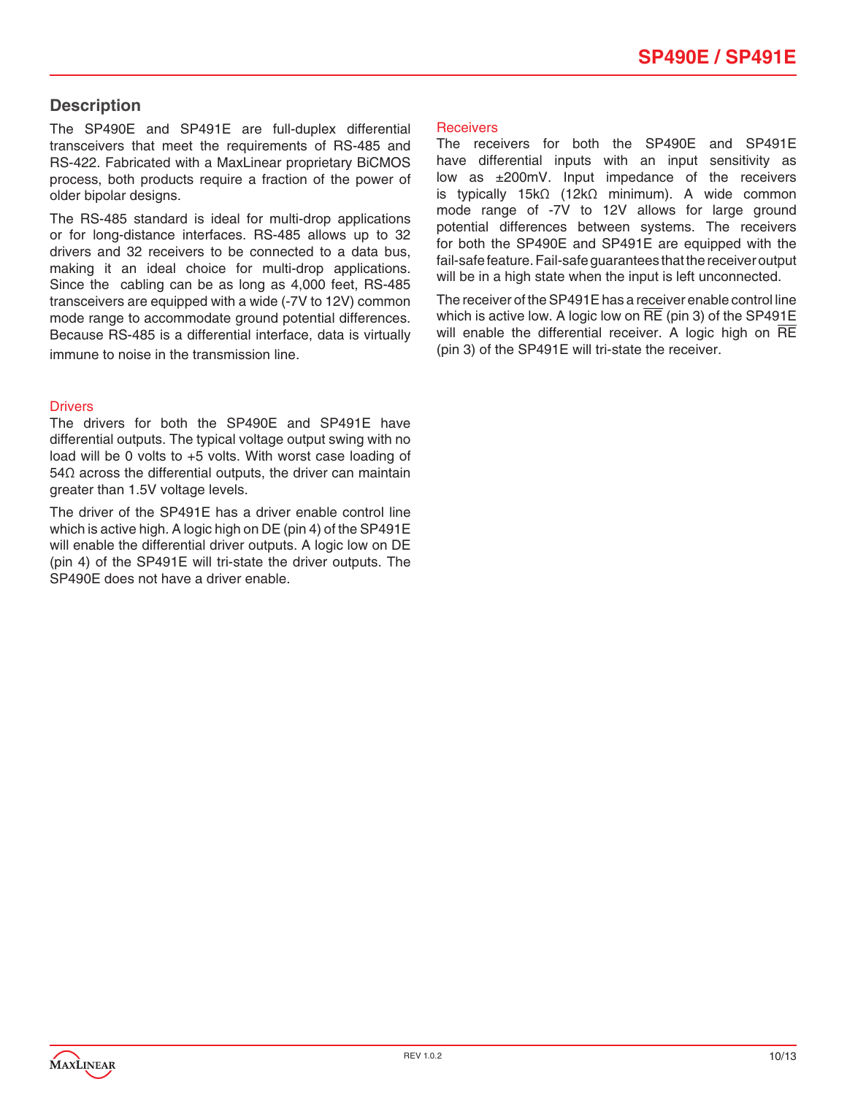#### **Description**

The SP490E and SP491E are full-duplex differential transceivers that meet the requirements of RS-485 and RS-422. Fabricated with a MaxLinear proprietary BiCMOS process, both products require a fraction of the power of older bipolar designs.

The RS-485 standard is ideal for multi-drop applications or for long-distance interfaces. RS-485 allows up to 32 drivers and 32 receivers to be connected to a data bus, making it an ideal choice for multi-drop applications. Since the cabling can be as long as 4,000 feet, RS-485 transceivers are equipped with a wide (-7V to 12V) common mode range to accommodate ground potential differences. Because RS-485 is a differential interface, data is virtually immune to noise in the transmission line.

#### **Drivers**

The drivers for both the SP490E and SP491E have differential outputs. The typical voltage output swing with no load will be 0 volts to +5 volts. With worst case loading of 54Ω across the differential outputs, the driver can maintain greater than 1.5V voltage levels.

The driver of the SP491E has a driver enable control line which is active high. A logic high on DE (pin 4) of the SP491E will enable the differential driver outputs. A logic low on DE (pin 4) of the SP491E will tri-state the driver outputs. The SP490E does not have a driver enable.

#### **Receivers**

The receivers for both the SP490E and SP491E have differential inputs with an input sensitivity as low as ±200mV. Input impedance of the receivers is typically 15kΩ (12kΩ minimum). A wide common mode range of -7V to 12V allows for large ground potential differences between systems. The receivers for both the SP490E and SP491E are equipped with the fail-safe feature. Fail-safe guarantees that the receiver output will be in a high state when the input is left unconnected.

The receiver of the SP491E has a receiver enable control line which is active low. A logic low on RE (pin 3) of the SP491E will enable the differential receiver. A logic high on RE (pin 3) of the SP491E will tri-state the receiver.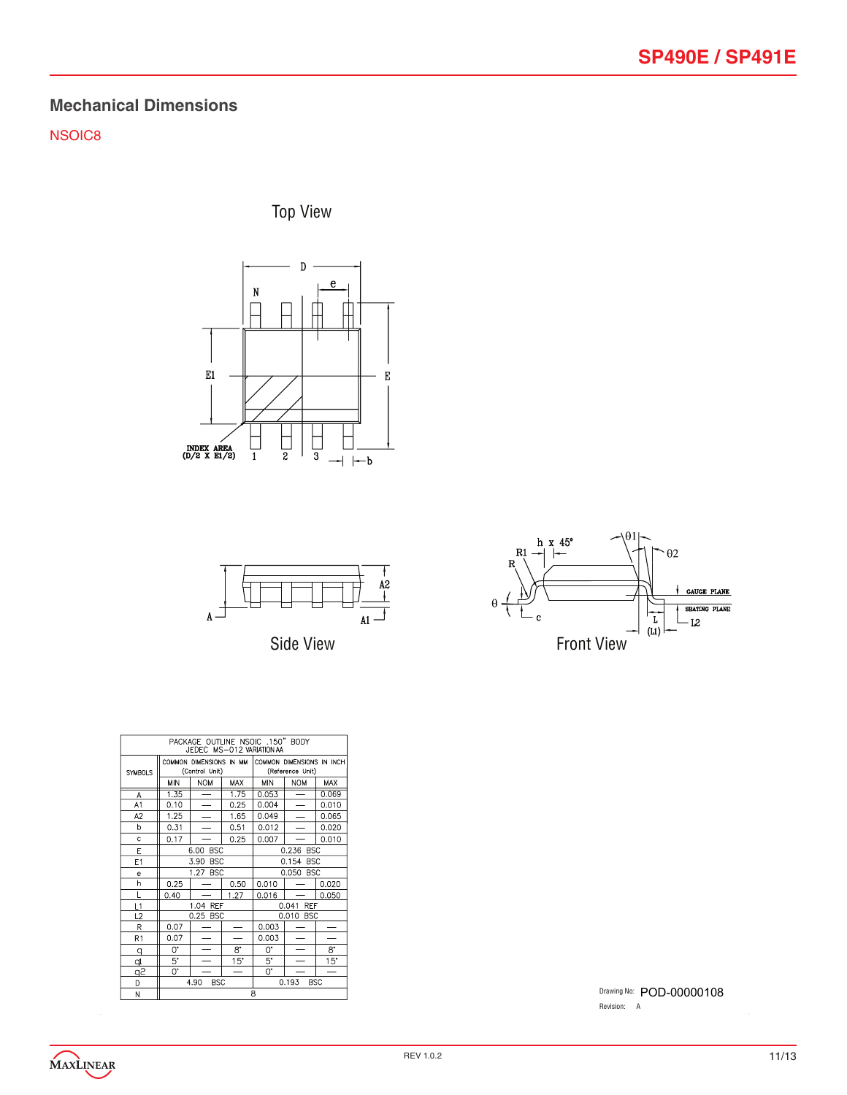# **Mechanical Dimensions**

NSOIC8

Top View







| PACKAGE OUTLINE NSOIC .150" BODY<br>JEDEC MS-012 VARIATION AA |      |                                           |                          |                                               |                          |            |
|---------------------------------------------------------------|------|-------------------------------------------|--------------------------|-----------------------------------------------|--------------------------|------------|
| <b>SYMBOLS</b>                                                |      | COMMON DIMENSIONS IN MM<br>(Control Unit) |                          | COMMON DIMENSIONS IN INCH<br>(Reference Unit) |                          |            |
|                                                               | MIN  | <b>NOM</b>                                | <b>MAX</b>               | <b>MIN</b>                                    | <b>NOM</b>               | <b>MAX</b> |
| A                                                             | 1.35 | —                                         | 1.75                     | 0.053                                         | $\overline{\phantom{0}}$ | 0.069      |
| A1                                                            | 0.10 | $\overline{\phantom{0}}$                  | 0.25                     | 0.004                                         |                          | 0.010      |
| A <sub>2</sub>                                                | 1.25 | $\overline{\phantom{0}}$                  | 1.65                     | 0.049                                         |                          | 0.065      |
| h                                                             | 0.31 | $\overline{\phantom{0}}$                  | 0.51                     | 0.012                                         |                          | 0.020      |
| Ċ                                                             | 0.17 |                                           | 0.25                     | 0.007                                         |                          | 0.010      |
| E                                                             |      | 6.00<br><b>BSC</b>                        |                          | 0.236 BSC                                     |                          |            |
| E1                                                            |      | 3.90<br><b>BSC</b>                        |                          | 0.154 BSC                                     |                          |            |
| e                                                             |      | 1.27<br><b>BSC</b>                        |                          | 0.050 BSC                                     |                          |            |
| h                                                             | 0.25 |                                           | 0.50                     | 0.010                                         |                          | 0.020      |
| Ĺ                                                             | 0.40 |                                           | 1.27                     | 0.016                                         |                          | 0.050      |
| L1                                                            |      | 1.04 REF                                  |                          | 0.041 REF                                     |                          |            |
| L2                                                            |      | 0.25 BSC                                  |                          |                                               | 0.010 BSC                |            |
| R                                                             | 0.07 |                                           |                          | 0.003                                         |                          |            |
| R1                                                            | 0.07 |                                           | $\overline{\phantom{a}}$ | 0.003                                         |                          |            |
| q                                                             | 0.   |                                           | 8.                       | 0.                                            |                          | 8.         |
| þ                                                             | 5.   |                                           | 15"                      | 5.                                            |                          | 15"        |
| <u>q2</u>                                                     | 0.   |                                           | $\overline{\phantom{0}}$ | 0.                                            |                          | -          |
| D                                                             |      | 4.90<br><b>BSC</b>                        |                          |                                               | 0.193                    | <b>BSC</b> |
| M                                                             | R    |                                           |                          |                                               |                          |            |

Drawing No: POD-00000108 Revision: A

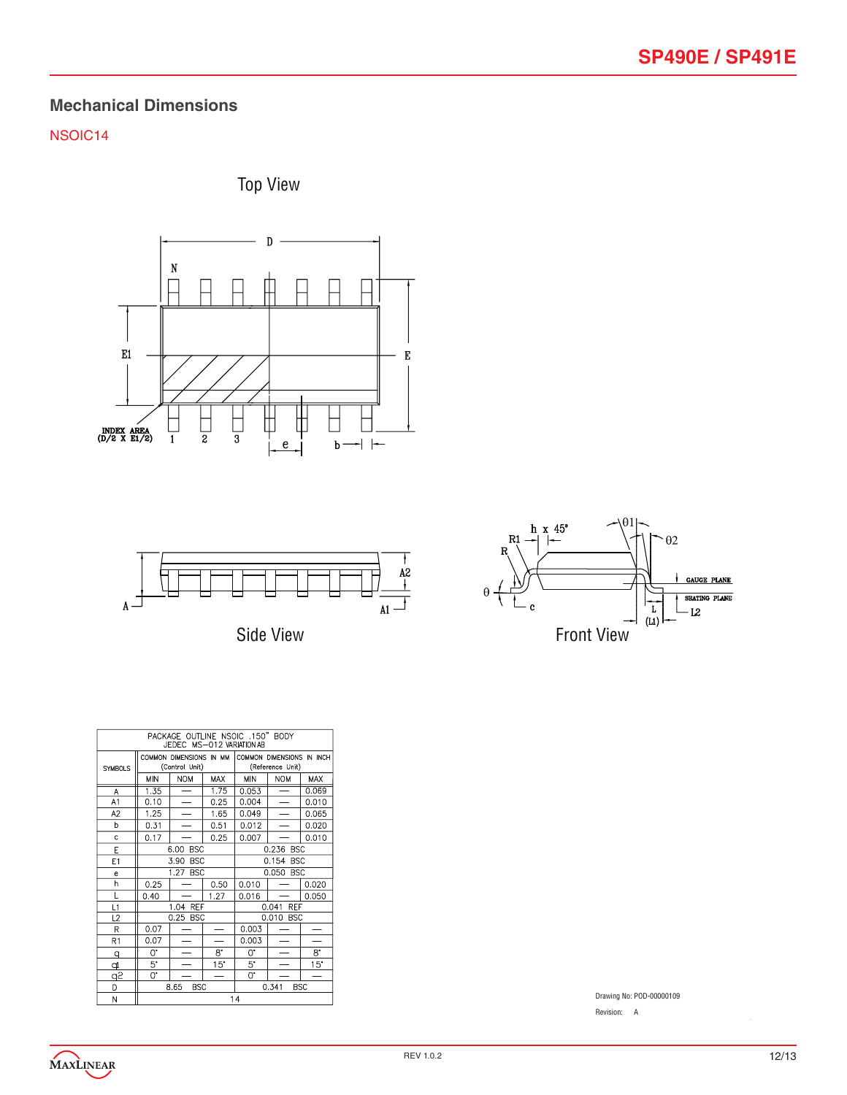## **Mechanical Dimensions**

#### NSOIC14







Side View



|                | PACKAGE OUTLINE NSOIC .150" BODY<br>JEDEC MS-012 VARIATION AB |                                           |                          |                     |                                               |                          |  |
|----------------|---------------------------------------------------------------|-------------------------------------------|--------------------------|---------------------|-----------------------------------------------|--------------------------|--|
| <b>SYMBOLS</b> |                                                               | COMMON DIMENSIONS IN MM<br>(Control Unit) |                          |                     | COMMON DIMENSIONS IN INCH<br>(Reference Unit) |                          |  |
|                | <b>MIN</b>                                                    | <b>NOM</b>                                | <b>MAX</b>               | MIN                 | <b>NOM</b>                                    | <b>MAX</b>               |  |
| А              | 1.35                                                          |                                           | 1.75                     | 0.053               |                                               | 0.069                    |  |
| A1             | 0.10                                                          |                                           | 0.25                     | 0.004               |                                               | 0.010                    |  |
| A <sub>2</sub> | 1.25                                                          |                                           | 1.65                     | 0.049               |                                               | 0.065                    |  |
| þ              | 0.31                                                          |                                           | 0.51                     | 0.012               |                                               | 0.020                    |  |
| Ċ              | 0.17                                                          |                                           | 0.25                     | 0.007               |                                               | 0.010                    |  |
| E              |                                                               | 6.00<br><b>BSC</b>                        |                          | 0.236<br><b>BSC</b> |                                               |                          |  |
| E1             |                                                               | <b>BSC</b><br>3.90                        |                          | 0.154<br><b>BSC</b> |                                               |                          |  |
| e              |                                                               | 1.27<br><b>BSC</b>                        |                          | 0.050<br><b>BSC</b> |                                               |                          |  |
| h              | 0.25                                                          |                                           | 0.50                     | 0.010               |                                               | 0.020                    |  |
| L              | 0.40                                                          |                                           | 1.27                     | 0.016               |                                               | 0.050                    |  |
| L1             |                                                               | 1.04 REF                                  |                          | 0.041<br><b>REF</b> |                                               |                          |  |
| L2             |                                                               | 0.25 BSC                                  |                          |                     | 0.010 BSC                                     |                          |  |
| R              | 0.07                                                          |                                           |                          | 0.003               |                                               |                          |  |
| R1             | 0.07                                                          |                                           |                          | 0.003               |                                               |                          |  |
| q              | Q.                                                            |                                           | 8.                       | O.                  |                                               | $8^{\circ}$              |  |
| Þ              | 5.                                                            |                                           | $15^{\circ}$             | 5.                  |                                               | $15^{\circ}$             |  |
| $\overline{5}$ | 0.                                                            |                                           | $\overline{\phantom{0}}$ | 0.                  |                                               | $\overline{\phantom{0}}$ |  |
| D              |                                                               | 8.65<br><b>BSC</b>                        |                          |                     | 0.341                                         | <b>BSC</b>               |  |
| M              | 1 <sub>A</sub>                                                |                                           |                          |                     |                                               |                          |  |

Drawing No: POD-00000109

Revision: A